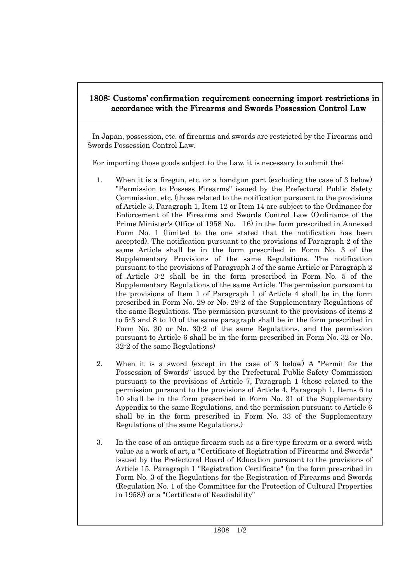## 1808: Customs' confirmation requirement concerning import restrictions in accordance with the Firearms and Swords Possession Control Law

In Japan, possession, etc. of firearms and swords are restricted by the Firearms and Swords Possession Control Law.

For importing those goods subject to the Law, it is necessary to submit the:

- 1. When it is a firegun, etc. or a handgun part (excluding the case of 3 below) "Permission to Possess Firearms" issued by the Prefectural Public Safety Commission, etc. (those related to the notification pursuant to the provisions of Article 3, Paragraph 1, Item 12 or Item 14 are subject to the Ordinance for Enforcement of the Firearms and Swords Control Law (Ordinance of the Prime Minister's Office of 1958 No. 16) in the form prescribed in Annexed Form No. 1 (limited to the one stated that the notification has been accepted). The notification pursuant to the provisions of Paragraph 2 of the same Article shall be in the form prescribed in Form No. 3 of the Supplementary Provisions of the same Regulations. The notification pursuant to the provisions of Paragraph 3 of the same Article or Paragraph 2 of Article 3-2 shall be in the form prescribed in Form No. 5 of the Supplementary Regulations of the same Article. The permission pursuant to the provisions of Item 1 of Paragraph 1 of Article 4 shall be in the form prescribed in Form No. 29 or No. 29-2 of the Supplementary Regulations of the same Regulations. The permission pursuant to the provisions of items 2 to 5-3 and 8 to 10 of the same paragraph shall be in the form prescribed in Form No. 30 or No. 30-2 of the same Regulations, and the permission pursuant to Article 6 shall be in the form prescribed in Form No. 32 or No. 32-2 of the same Regulations)
- 2. When it is a sword (except in the case of 3 below) A "Permit for the Possession of Swords" issued by the Prefectural Public Safety Commission pursuant to the provisions of Article 7, Paragraph 1 (those related to the permission pursuant to the provisions of Article 4, Paragraph 1, Items 6 to 10 shall be in the form prescribed in Form No. 31 of the Supplementary Appendix to the same Regulations, and the permission pursuant to Article 6 shall be in the form prescribed in Form No. 33 of the Supplementary Regulations of the same Regulations.)
- 3. In the case of an antique firearm such as a fire-type firearm or a sword with value as a work of art, a "Certificate of Registration of Firearms and Swords" issued by the Prefectural Board of Education pursuant to the provisions of Article 15, Paragraph 1 "Registration Certificate" (in the form prescribed in Form No. 3 of the Regulations for the Registration of Firearms and Swords (Regulation No. 1 of the Committee for the Protection of Cultural Properties in 1958)) or a "Certificate of Readiability"